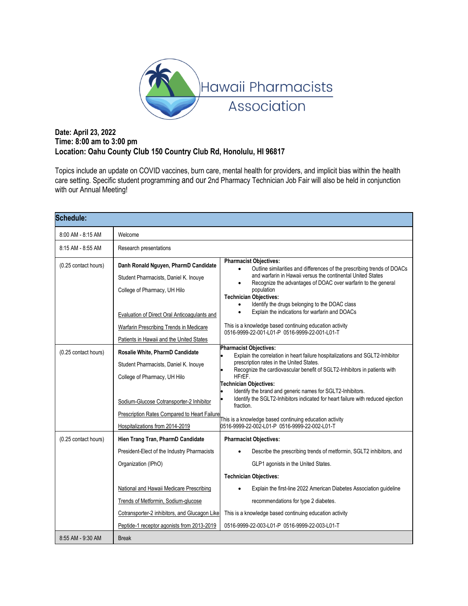

# **Date: April 23, 2022 Time: 8:00 am to 3:00 pm Location: Oahu County Club 150 Country Club Rd, Honolulu, HI 96817**

Topics include an update on COVID vaccines, burn care, mental health for providers, and implicit bias within the health care setting. Specific student programming and our 2nd Pharmacy Technician Job Fair will also be held in conjunction with our Annual Meeting!

| <b>Schedule:</b>     |                                                                                                                                                                                                                                                      |                                                                                                                                                                                                                                                                                                                                                                                                                                                                                                                                                       |  |
|----------------------|------------------------------------------------------------------------------------------------------------------------------------------------------------------------------------------------------------------------------------------------------|-------------------------------------------------------------------------------------------------------------------------------------------------------------------------------------------------------------------------------------------------------------------------------------------------------------------------------------------------------------------------------------------------------------------------------------------------------------------------------------------------------------------------------------------------------|--|
| 8:00 AM - 8:15 AM    | Welcome                                                                                                                                                                                                                                              |                                                                                                                                                                                                                                                                                                                                                                                                                                                                                                                                                       |  |
| 8:15 AM - 8:55 AM    | Research presentations                                                                                                                                                                                                                               |                                                                                                                                                                                                                                                                                                                                                                                                                                                                                                                                                       |  |
| (0.25 contact hours) | Danh Ronald Nguyen, PharmD Candidate<br>Student Pharmacists, Daniel K. Inouye<br>College of Pharmacy, UH Hilo<br>Evaluation of Direct Oral Anticoagulants and<br>Warfarin Prescribing Trends in Medicare<br>Patients in Hawaii and the United States | <b>Pharmacist Objectives:</b><br>Outline similarities and differences of the prescribing trends of DOACs<br>$\bullet$<br>and warfarin in Hawaii versus the continental United States<br>Recognize the advantages of DOAC over warfarin to the general<br>population<br><b>Technician Objectives:</b><br>Identify the drugs belonging to the DOAC class<br>Explain the indications for warfarin and DOACs<br>$\bullet$<br>This is a knowledge based continuing education activity<br>0516-9999-22-001-L01-P 0516-9999-22-001-L01-T                     |  |
| (0.25 contact hours) | Rosalie White, PharmD Candidate<br>Student Pharmacists, Daniel K. Inouye<br>College of Pharmacy, UH Hilo<br>Sodium-Glucose Cotransporter-2 Inhibitor<br><b>Prescription Rates Compared to Heart Failure</b><br>Hospitalizations from 2014-2019       | <b>Pharmacist Objectives:</b><br>Explain the correlation in heart failure hospitalizations and SGLT2-Inhibitor<br>prescription rates in the United States.<br>Recognize the cardiovascular benefit of SGLT2-Inhibitors in patients with<br>HFrEF.<br>Technician Objectives:<br>Identify the brand and generic names for SGLT2-Inhibitors.<br>Identify the SGLT2-Inhibitors indicated for heart failure with reduced ejection<br>fraction.<br>This is a knowledge based continuing education activity<br>0516-9999-22-002-L01-P 0516-9999-22-002-L01-T |  |
| (0.25 contact hours) | Hien Trang Tran, PharmD Candidate<br>President-Elect of the Industry Pharmacists<br>Organization (IPhO)<br>National and Hawaii Medicare Prescribing<br>Trends of Metformin, Sodium-glucose<br>Cotransporter-2 inhibitors, and Glucagon Like          | <b>Pharmacist Objectives:</b><br>Describe the prescribing trends of metformin, SGLT2 inhibitors, and<br>GLP1 agonists in the United States.<br><b>Technician Objectives:</b><br>Explain the first-line 2022 American Diabetes Association guideline<br>recommendations for type 2 diabetes.<br>This is a knowledge based continuing education activity                                                                                                                                                                                                |  |
| 8:55 AM - 9:30 AM    | Peptide-1 receptor agonists from 2013-2019<br><b>Break</b>                                                                                                                                                                                           | 0516-9999-22-003-L01-P 0516-9999-22-003-L01-T                                                                                                                                                                                                                                                                                                                                                                                                                                                                                                         |  |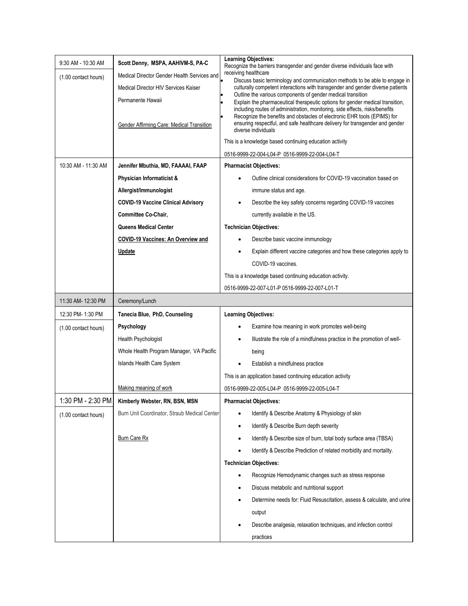|                      |                                              | <b>Learning Objectives:</b>                                                                                                                                   |
|----------------------|----------------------------------------------|---------------------------------------------------------------------------------------------------------------------------------------------------------------|
| 9:30 AM - 10:30 AM   | Scott Denny, MSPA, AAHIVM-S, PA-C            | Recognize the barriers transgender and gender diverse individuals face with<br>receiving healthcare                                                           |
| (1.00 contact hours) | Medical Director Gender Health Services and  | Discuss basic terminology and communication methods to be able to engage in                                                                                   |
|                      | Medical Director HIV Services Kaiser         | culturally competent interactions with transgender and gender diverse patients<br>Outline the various components of gender medical transition                 |
|                      | Permanente Hawaii                            | Explain the pharmaceutical therapeutic options for gender medical transition,<br>including routes of administration, monitoring, side effects, risks/benefits |
|                      |                                              | Recognize the benefits and obstacles of electronic EHR tools (EPIMS) for                                                                                      |
|                      | Gender Affirming Care: Medical Transition    | ensuring respectful, and safe healthcare delivery for transgender and gender<br>diverse individuals                                                           |
|                      |                                              | This is a knowledge based continuing education activity                                                                                                       |
|                      |                                              | 0516-9999-22-004-L04-P 0516-9999-22-004-L04-T                                                                                                                 |
| 10:30 AM - 11:30 AM  | Jennifer Mbuthia, MD, FAAAAI, FAAP           | <b>Pharmacist Objectives:</b>                                                                                                                                 |
|                      | Physician Informaticist &                    | Outline clinical considerations for COVID-19 vaccination based on                                                                                             |
|                      | Allergist/Immunologist                       | immune status and age.                                                                                                                                        |
|                      | <b>COVID-19 Vaccine Clinical Advisory</b>    | Describe the key safety concerns regarding COVID-19 vaccines                                                                                                  |
|                      | <b>Committee Co-Chair,</b>                   | currently available in the US.                                                                                                                                |
|                      | <b>Queens Medical Center</b>                 | <b>Technician Objectives:</b>                                                                                                                                 |
|                      | COVID-19 Vaccines: An Overview and           | Describe basic vaccine immunology                                                                                                                             |
|                      | Update                                       | Explain different vaccine categories and how these categories apply to                                                                                        |
|                      |                                              | COVID-19 vaccines.                                                                                                                                            |
|                      |                                              | This is a knowledge based continuing education activity.                                                                                                      |
|                      |                                              | 0516-9999-22-007-L01-P 0516-9999-22-007-L01-T                                                                                                                 |
| 11:30 AM- 12:30 PM   | Ceremony/Lunch                               |                                                                                                                                                               |
| 12:30 PM-1:30 PM     | Tanecia Blue, PhD, Counseling                | <b>Learning Objectives:</b>                                                                                                                                   |
|                      |                                              |                                                                                                                                                               |
| (1.00 contact hours) | Psychology                                   | Examine how meaning in work promotes well-being                                                                                                               |
|                      | Health Psychologist                          | Illustrate the role of a mindfulness practice in the promotion of well-                                                                                       |
|                      | Whole Health Program Manager, VA Pacific     | being                                                                                                                                                         |
|                      | Islands Health Care System                   | Establish a mindfulness practice                                                                                                                              |
|                      |                                              | This is an application based continuing education activity                                                                                                    |
|                      | Making meaning of work                       | 0516-9999-22-005-L04-P 0516-9999-22-005-L04-T                                                                                                                 |
| 1:30 PM - 2:30 PM    | Kimberly Webster, RN, BSN, MSN               | <b>Pharmacist Objectives:</b>                                                                                                                                 |
| (1.00 contact hours) | Burn Unit Coordinator, Straub Medical Center | Identify & Describe Anatomy & Physiology of skin                                                                                                              |
|                      |                                              | Identify & Describe Burn depth severity                                                                                                                       |
|                      | <b>Burn Care Rx</b>                          | Identify & Describe size of burn, total body surface area (TBSA)                                                                                              |
|                      |                                              | Identify & Describe Prediction of related morbidity and mortality.                                                                                            |
|                      |                                              | <b>Technician Objectives:</b>                                                                                                                                 |
|                      |                                              | Recognize Hemodynamic changes such as stress response<br>٠                                                                                                    |
|                      |                                              | Discuss metabolic and nutritional support                                                                                                                     |
|                      |                                              | Determine needs for: Fluid Resuscitation, assess & calculate, and urine                                                                                       |
|                      |                                              | output                                                                                                                                                        |
|                      |                                              | Describe analgesia, relaxation techniques, and infection control                                                                                              |